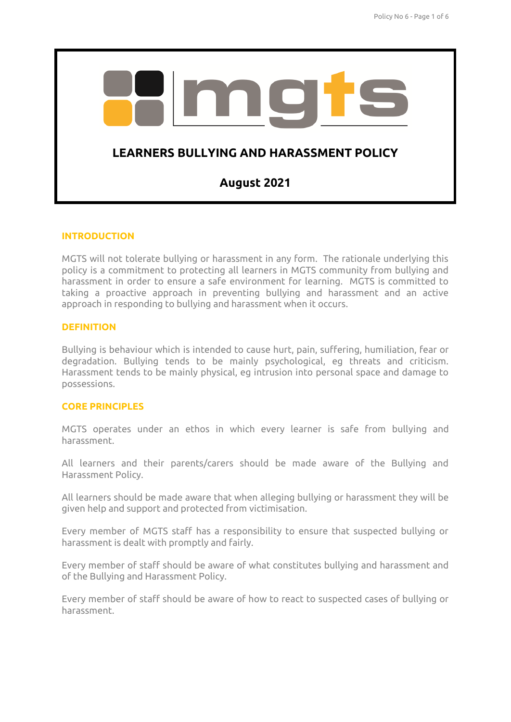

### **INTRODUCTION**

MGTS will not tolerate bullying or harassment in any form. The rationale underlying this policy is a commitment to protecting all learners in MGTS community from bullying and harassment in order to ensure a safe environment for learning. MGTS is committed to taking a proactive approach in preventing bullying and harassment and an active approach in responding to bullying and harassment when it occurs.

### **DEFINITION**

Bullying is behaviour which is intended to cause hurt, pain, suffering, humiliation, fear or degradation. Bullying tends to be mainly psychological, eg threats and criticism. Harassment tends to be mainly physical, eg intrusion into personal space and damage to possessions.

### **CORE PRINCIPLES**

MGTS operates under an ethos in which every learner is safe from bullying and harassment.

All learners and their parents/carers should be made aware of the Bullying and Harassment Policy.

All learners should be made aware that when alleging bullying or harassment they will be given help and support and protected from victimisation.

Every member of MGTS staff has a responsibility to ensure that suspected bullying or harassment is dealt with promptly and fairly.

Every member of staff should be aware of what constitutes bullying and harassment and of the Bullying and Harassment Policy.

Every member of staff should be aware of how to react to suspected cases of bullying or harassment.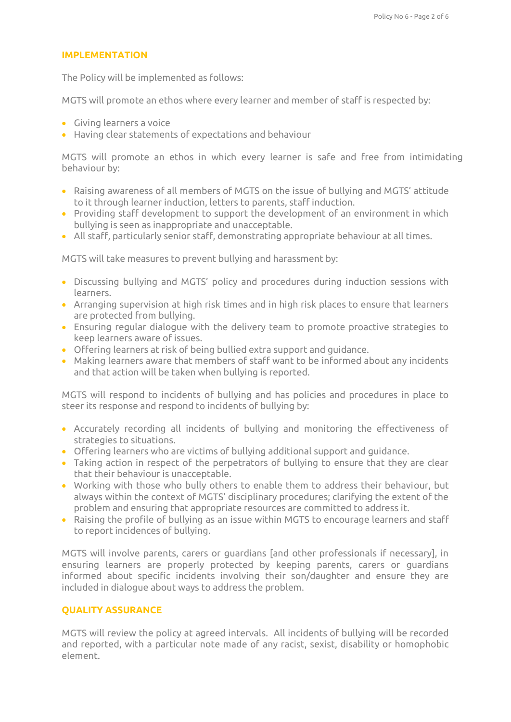### **IMPLEMENTATION**

The Policy will be implemented as follows:

MGTS will promote an ethos where every learner and member of staff is respected by:

- Giving learners a voice
- Having clear statements of expectations and behaviour

MGTS will promote an ethos in which every learner is safe and free from intimidating behaviour by:

- Raising awareness of all members of MGTS on the issue of bullying and MGTS' attitude to it through learner induction, letters to parents, staff induction.
- Providing staff development to support the development of an environment in which bullying is seen as inappropriate and unacceptable.
- All staff, particularly senior staff, demonstrating appropriate behaviour at all times.

MGTS will take measures to prevent bullying and harassment by:

- Discussing bullying and MGTS' policy and procedures during induction sessions with learners.
- Arranging supervision at high risk times and in high risk places to ensure that learners are protected from bullying.
- Ensuring regular dialogue with the delivery team to promote proactive strategies to keep learners aware of issues.
- Offering learners at risk of being bullied extra support and guidance.
- Making learners aware that members of staff want to be informed about any incidents and that action will be taken when bullying is reported.

MGTS will respond to incidents of bullying and has policies and procedures in place to steer its response and respond to incidents of bullying by:

- Accurately recording all incidents of bullying and monitoring the effectiveness of strategies to situations.
- Offering learners who are victims of bullying additional support and guidance.
- Taking action in respect of the perpetrators of bullying to ensure that they are clear that their behaviour is unacceptable.
- Working with those who bully others to enable them to address their behaviour, but always within the context of MGTS' disciplinary procedures; clarifying the extent of the problem and ensuring that appropriate resources are committed to address it.
- Raising the profile of bullying as an issue within MGTS to encourage learners and staff to report incidences of bullying.

MGTS will involve parents, carers or guardians [and other professionals if necessary], in ensuring learners are properly protected by keeping parents, carers or guardians informed about specific incidents involving their son/daughter and ensure they are included in dialogue about ways to address the problem.

## **QUALITY ASSURANCE**

MGTS will review the policy at agreed intervals. All incidents of bullying will be recorded and reported, with a particular note made of any racist, sexist, disability or homophobic element.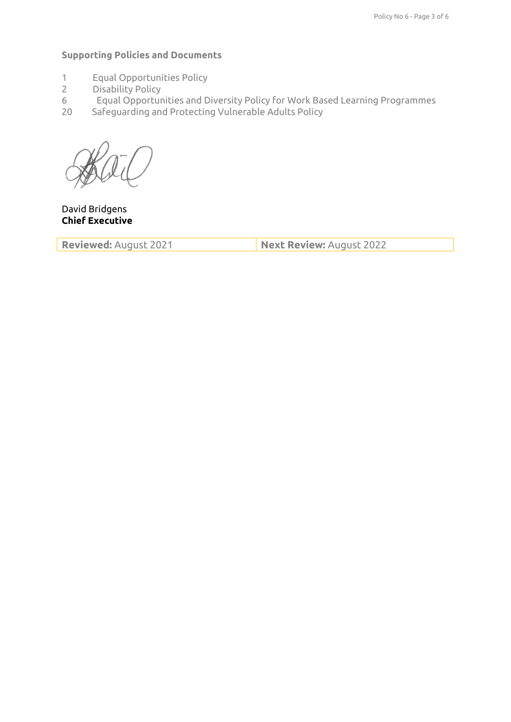# **Supporting Policies and Documents**

- 1 Equal Opportunities Policy
- 2 Disability Policy<br>6 Equal Opportur
- 6 Equal Opportunities and Diversity Policy for Work Based Learning Programmes
- 20 Safeguarding and Protecting Vulnerable Adults Policy

David Bridgens **Chief Executive** 

**Reviewed:** August 2021 **Next Review:** August 2022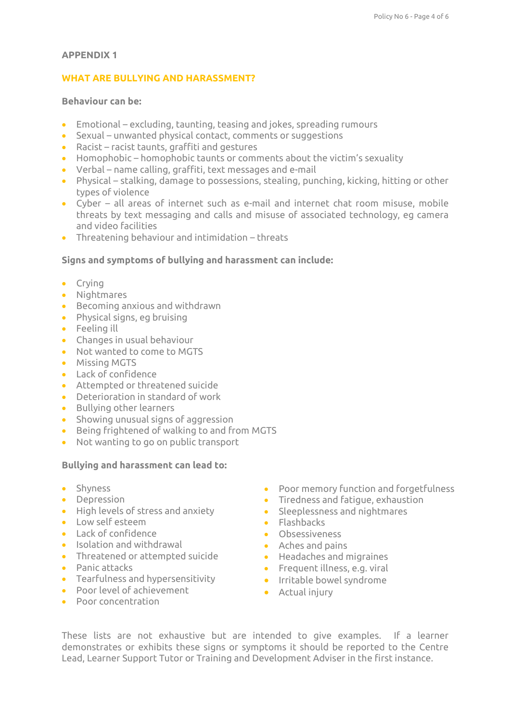# **APPENDIX 1**

# **WHAT ARE BULLYING AND HARASSMENT?**

# **Behaviour can be:**

- Emotional excluding, taunting, teasing and jokes, spreading rumours
- Sexual unwanted physical contact, comments or suggestions
- Racist racist taunts, graffiti and gestures
- Homophobic homophobic taunts or comments about the victim's sexuality
- Verbal name calling, graffiti, text messages and e-mail
- Physical stalking, damage to possessions, stealing, punching, kicking, hitting or other types of violence
- Cyber all areas of internet such as e-mail and internet chat room misuse, mobile threats by text messaging and calls and misuse of associated technology, eg camera and video facilities
- Threatening behaviour and intimidation threats

## **Signs and symptoms of bullying and harassment can include:**

- Crying
- Nightmares
- Becoming anxious and withdrawn
- Physical signs, eg bruising
- Feeling ill
- Changes in usual behaviour
- Not wanted to come to MGTS
- Missing MGTS
- Lack of confidence
- Attempted or threatened suicide
- Deterioration in standard of work
- Bullying other learners
- Showing unusual signs of aggression
- Being frightened of walking to and from MGTS
- Not wanting to go on public transport

# **Bullying and harassment can lead to:**

- Shyness
- Depression
- High levels of stress and anxiety
- Low self esteem
- **Lack of confidence**
- Isolation and withdrawal
- Threatened or attempted suicide
- Panic attacks
- Tearfulness and hypersensitivity
- Poor level of achievement
- Poor concentration
- Poor memory function and forgetfulness
- Tiredness and fatigue, exhaustion
- Sleeplessness and nightmares
- Flashbacks
- Obsessiveness
- Aches and pains
- Headaches and migraines
- **•** Frequent illness, e.g. viral
- **•** Irritable bowel syndrome
	- Actual injury

These lists are not exhaustive but are intended to give examples. If a learner demonstrates or exhibits these signs or symptoms it should be reported to the Centre Lead, Learner Support Tutor or Training and Development Adviser in the first instance.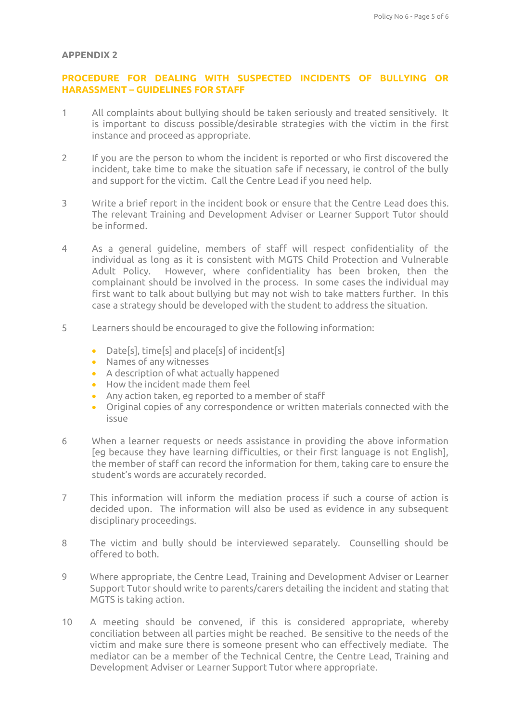#### **APPENDIX 2**

## **PROCEDURE FOR DEALING WITH SUSPECTED INCIDENTS OF BULLYING OR HARASSMENT – GUIDELINES FOR STAFF**

- 1 All complaints about bullying should be taken seriously and treated sensitively. It is important to discuss possible/desirable strategies with the victim in the first instance and proceed as appropriate.
- 2 If you are the person to whom the incident is reported or who first discovered the incident, take time to make the situation safe if necessary, ie control of the bully and support for the victim. Call the Centre Lead if you need help.
- 3 Write a brief report in the incident book or ensure that the Centre Lead does this. The relevant Training and Development Adviser or Learner Support Tutor should be informed.
- 4 As a general guideline, members of staff will respect confidentiality of the individual as long as it is consistent with MGTS Child Protection and Vulnerable Adult Policy. However, where confidentiality has been broken, then the complainant should be involved in the process. In some cases the individual may first want to talk about bullying but may not wish to take matters further. In this case a strategy should be developed with the student to address the situation.
- 5 Learners should be encouraged to give the following information:
	- Date[s], time[s] and place[s] of incident[s]
	- Names of any witnesses
	- A description of what actually happened
	- How the incident made them feel
	- Any action taken, eg reported to a member of staff
	- Original copies of any correspondence or written materials connected with the issue
- 6 When a learner requests or needs assistance in providing the above information [eg because they have learning difficulties, or their first language is not English], the member of staff can record the information for them, taking care to ensure the student's words are accurately recorded.
- 7 This information will inform the mediation process if such a course of action is decided upon. The information will also be used as evidence in any subsequent disciplinary proceedings.
- 8 The victim and bully should be interviewed separately. Counselling should be offered to both.
- 9 Where appropriate, the Centre Lead, Training and Development Adviser or Learner Support Tutor should write to parents/carers detailing the incident and stating that MGTS is taking action.
- 10 A meeting should be convened, if this is considered appropriate, whereby conciliation between all parties might be reached. Be sensitive to the needs of the victim and make sure there is someone present who can effectively mediate. The mediator can be a member of the Technical Centre, the Centre Lead, Training and Development Adviser or Learner Support Tutor where appropriate.